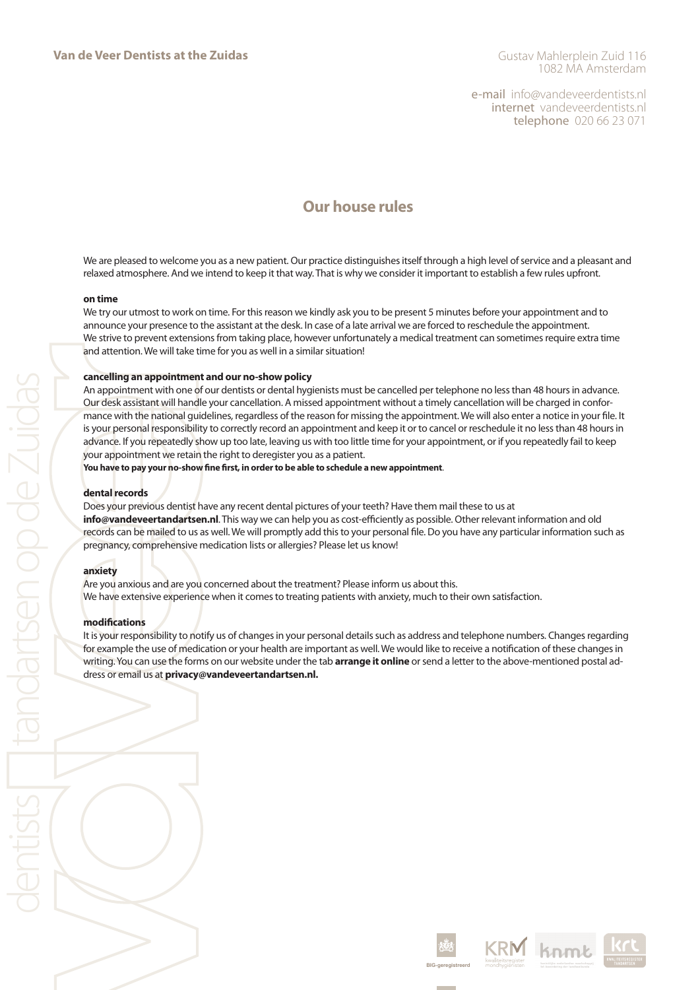e-mail info@vandeveerdentists.nl internet vandeveerdentists.nl telephone 020 66 23 071

# **Our house rules**

We are pleased to welcome you as a new patient. Our practice distinguishes itself through a high level of service and a pleasant and relaxed atmosphere. And we intend to keep it that way. That is why we consider it important to establish a few rules upfront.

### **on time**

We try our utmost to work on time. For this reason we kindly ask you to be present 5 minutes before your appointment and to announce your presence to the assistant at the desk. In case of a late arrival we are forced to reschedule the appointment. We strive to prevent extensions from taking place, however unfortunately a medical treatment can sometimes require extra time and attention. We will take time for you as well in a similar situation!

# **cancelling an appointment and our no-show policy**

An appointment with one of our dentists or dental hygienists must be cancelled per telephone no less than 48 hours in advance. Our desk assistant will handle your cancellation. A missed appointment without a timely cancellation will be charged in conformance with the national guidelines, regardless of the reason for missing the appointment. We will also enter a notice in your file. It is your personal responsibility to correctly record an appointment and keep it or to cancel or reschedule it no less than 48 hours in advance. If you repeatedly show up too late, leaving us with too little time for your appointment, or if you repeatedly fail to keep your appointment we retain the right to deregister you as a patient.

#### **You have to pay your no-show fine first, in order to be able to schedule a new appointment**.

#### **dental records**

Does your previous dentist have any recent dental pictures of your teeth? Have them mail these to us at **info@vandeveertandartsen.nl**. This way we can help you as cost-efficiently as possible. Other relevant information and old records can be mailed to us as well. We will promptly add this to your personal file. Do you have any particular information such as pregnancy, comprehensive medication lists or allergies? Please let us know!

#### **anxiety**

Are you anxious and are you concerned about the treatment? Please inform us about this. We have extensive experience when it comes to treating patients with anxiety, much to their own satisfaction.

#### **modifications**

It is your responsibility to notify us of changes in your personal details such as address and telephone numbers. Changes regarding for example the use of medication or your health are important as well. We would like to receive a notification of these changes in writing. You can use the forms on our website under the tab **arrange it online** or send a letter to the above-mentioned postal address or email us at **privacy@vandeveertandartsen.nl.**